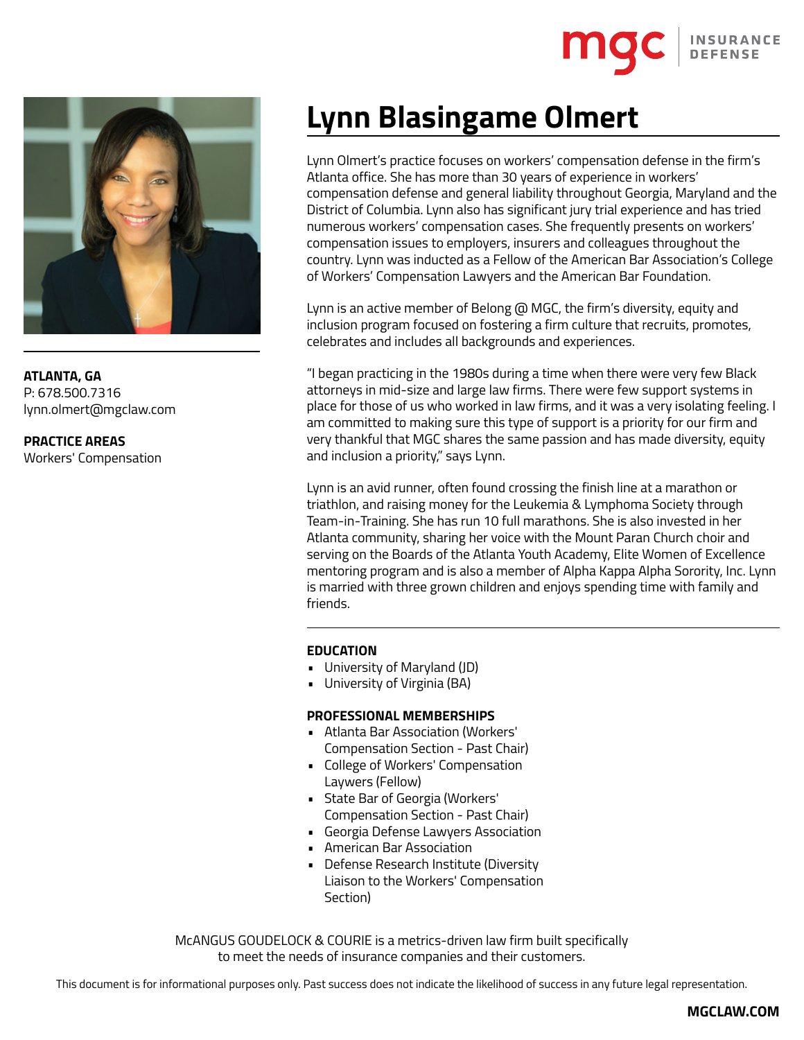

**ATLANTA, GA** P: 678.500.7316 lynn.olmert@mgclaw.com

**PRACTICE AREAS** Workers' Compensation

# **Lynn Blasingame Olmert**

Lynn Olmert's practice focuses on workers' compensation defense in the firm's Atlanta office. She has more than 30 years of experience in workers' compensation defense and general liability throughout Georgia, Maryland and the District of Columbia. Lynn also has significant jury trial experience and has tried numerous workers' compensation cases. She frequently presents on workers' compensation issues to employers, insurers and colleagues throughout the country. Lynn was inducted as a Fellow of the American Bar Association's College of Workers' Compensation Lawyers and the American Bar Foundation.

Lynn is an active member of Belong @ MGC, the firm's diversity, equity and inclusion program focused on fostering a firm culture that recruits, promotes, celebrates and includes all backgrounds and experiences.

"I began practicing in the 1980s during a time when there were very few Black attorneys in mid-size and large law firms. There were few support systems in place for those of us who worked in law firms, and it was a very isolating feeling. I am committed to making sure this type of support is a priority for our firm and very thankful that MGC shares the same passion and has made diversity, equity and inclusion a priority," says Lynn.

Lynn is an avid runner, often found crossing the finish line at a marathon or triathlon, and raising money for the Leukemia & Lymphoma Society through Team-in-Training. She has run 10 full marathons. She is also invested in her Atlanta community, sharing her voice with the Mount Paran Church choir and serving on the Boards of the Atlanta Youth Academy, Elite Women of Excellence mentoring program and is also a member of Alpha Kappa Alpha Sorority, Inc. Lynn is married with three grown children and enjoys spending time with family and friends.

### **EDUCATION**

- University of Maryland (JD)
- University of Virginia (BA)

### **PROFESSIONAL MEMBERSHIPS**

- Atlanta Bar Association (Workers' Compensation Section - Past Chair)
- College of Workers' Compensation Laywers (Fellow)
- State Bar of Georgia (Workers' Compensation Section - Past Chair)
- Georgia Defense Lawyers Association
- American Bar Association
- Defense Research Institute (Diversity Liaison to the Workers' Compensation Section)

McANGUS GOUDELOCK & COURIE is a metrics-driven law firm built specifically to meet the needs of insurance companies and their customers.

This document is for informational purposes only. Past success does not indicate the likelihood of success in any future legal representation.